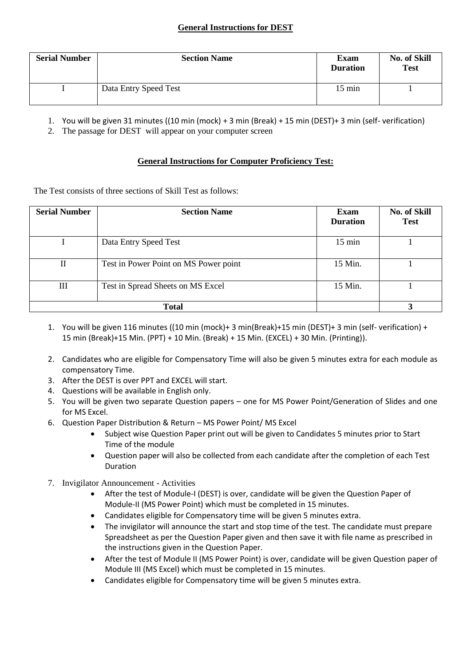### **General Instructions for DEST**

| <b>Serial Number</b> | <b>Section Name</b>   | <b>Exam</b><br><b>Duration</b> | No. of Skill<br><b>Test</b> |
|----------------------|-----------------------|--------------------------------|-----------------------------|
|                      | Data Entry Speed Test | $15 \text{ min}$               |                             |

1. You will be given 31 minutes ((10 min (mock) + 3 min (Break) + 15 min (DEST)+ 3 min (self- verification)

2. The passage for DEST will appear on your computer screen

#### **General Instructions for Computer Proficiency Test:**

The Test consists of three sections of Skill Test as follows:

| <b>Serial Number</b> | <b>Section Name</b>                   | Exam<br><b>Duration</b> | <b>No. of Skill</b><br><b>Test</b> |
|----------------------|---------------------------------------|-------------------------|------------------------------------|
|                      | Data Entry Speed Test                 | $15 \text{ min}$        |                                    |
| H                    | Test in Power Point on MS Power point | 15 Min.                 |                                    |
| Ш                    | Test in Spread Sheets on MS Excel     | 15 Min.                 |                                    |
| <b>Total</b>         |                                       |                         |                                    |

- 1. You will be given 116 minutes ((10 min (mock)+ 3 min(Break)+15 min (DEST)+ 3 min (self- verification) + 15 min (Break)+15 Min. (PPT) + 10 Min. (Break) + 15 Min. (EXCEL) + 30 Min. (Printing)).
- 2. Candidates who are eligible for Compensatory Time will also be given 5 minutes extra for each module as compensatory Time.
- 3. After the DEST is over PPT and EXCEL will start.
- 4. Questions will be available in English only.
- 5. You will be given two separate Question papers one for MS Power Point/Generation of Slides and one for MS Excel.
- 6. Question Paper Distribution & Return MS Power Point/ MS Excel
	- Subject wise Question Paper print out will be given to Candidates 5 minutes prior to Start Time of the module
	- Question paper will also be collected from each candidate after the completion of each Test Duration
- 7. Invigilator Announcement Activities
	- After the test of Module-I (DEST) is over, candidate will be given the Question Paper of Module-II (MS Power Point) which must be completed in 15 minutes.
	- Candidates eligible for Compensatory time will be given 5 minutes extra.
	- The invigilator will announce the start and stop time of the test. The candidate must prepare Spreadsheet as per the Question Paper given and then save it with file name as prescribed in the instructions given in the Question Paper.
	- After the test of Module II (MS Power Point) is over, candidate will be given Question paper of Module III (MS Excel) which must be completed in 15 minutes.
	- Candidates eligible for Compensatory time will be given 5 minutes extra.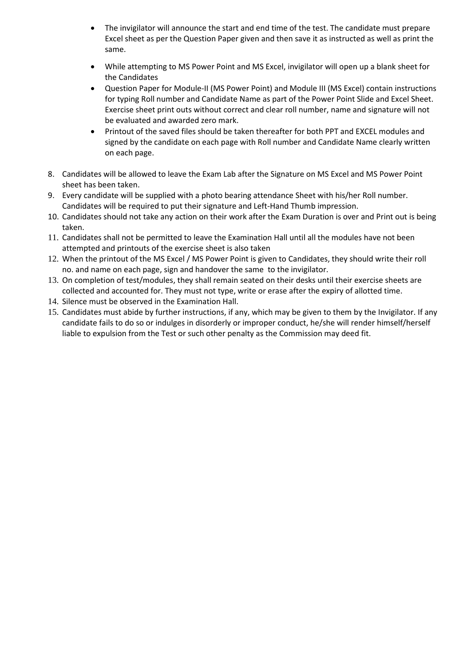- The invigilator will announce the start and end time of the test. The candidate must prepare Excel sheet as per the Question Paper given and then save it as instructed as well as print the same.
- While attempting to MS Power Point and MS Excel, invigilator will open up a blank sheet for the Candidates
- Question Paper for Module-II (MS Power Point) and Module III (MS Excel) contain instructions for typing Roll number and Candidate Name as part of the Power Point Slide and Excel Sheet. Exercise sheet print outs without correct and clear roll number, name and signature will not be evaluated and awarded zero mark.
- Printout of the saved files should be taken thereafter for both PPT and EXCEL modules and signed by the candidate on each page with Roll number and Candidate Name clearly written on each page.
- 8. Candidates will be allowed to leave the Exam Lab after the Signature on MS Excel and MS Power Point sheet has been taken.
- 9. Every candidate will be supplied with a photo bearing attendance Sheet with his/her Roll number. Candidates will be required to put their signature and Left-Hand Thumb impression.
- 10. Candidates should not take any action on their work after the Exam Duration is over and Print out is being taken.
- 11. Candidates shall not be permitted to leave the Examination Hall until all the modules have not been attempted and printouts of the exercise sheet is also taken
- 12. When the printout of the MS Excel / MS Power Point is given to Candidates, they should write their roll no. and name on each page, sign and handover the same to the invigilator.
- 13. On completion of test/modules, they shall remain seated on their desks until their exercise sheets are collected and accounted for. They must not type, write or erase after the expiry of allotted time.
- 14. Silence must be observed in the Examination Hall.
- 15. Candidates must abide by further instructions, if any, which may be given to them by the Invigilator. If any candidate fails to do so or indulges in disorderly or improper conduct, he/she will render himself/herself liable to expulsion from the Test or such other penalty as the Commission may deed fit.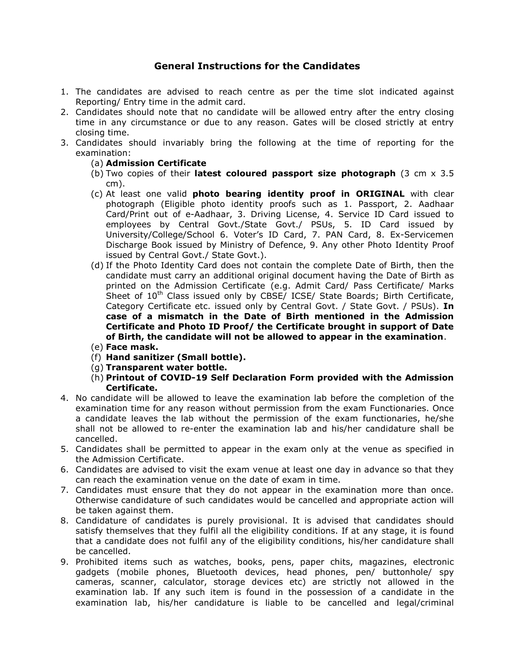#### General Instructions for the Candidates

- 1. The candidates are advised to reach centre as per the time slot indicated against Reporting/ Entry time in the admit card.
- 2. Candidates should note that no candidate will be allowed entry after the entry closing time in any circumstance or due to any reason. Gates will be closed strictly at entry closing time.
- 3. Candidates should invariably bring the following at the time of reporting for the examination:
	- (a) Admission Certificate
	- (b) Two copies of their **latest coloured passport size photograph** (3 cm  $\times$  3.5 cm).
	- (c) At least one valid photo bearing identity proof in ORIGINAL with clear photograph (Eligible photo identity proofs such as 1. Passport, 2. Aadhaar Card/Print out of e-Aadhaar, 3. Driving License, 4. Service ID Card issued to employees by Central Govt./State Govt./ PSUs, 5. ID Card issued by University/College/School 6. Voter's ID Card, 7. PAN Card, 8. Ex-Servicemen Discharge Book issued by Ministry of Defence, 9. Any other Photo Identity Proof issued by Central Govt./ State Govt.).
	- (d) If the Photo Identity Card does not contain the complete Date of Birth, then the candidate must carry an additional original document having the Date of Birth as printed on the Admission Certificate (e.g. Admit Card/ Pass Certificate/ Marks Sheet of  $10^{th}$  Class issued only by CBSE/ ICSE/ State Boards; Birth Certificate, Category Certificate etc. issued only by Central Govt. / State Govt. / PSUs). In case of a mismatch in the Date of Birth mentioned in the Admission Certificate and Photo ID Proof/ the Certificate brought in support of Date of Birth, the candidate will not be allowed to appear in the examination.
	- (e) Face mask.
	- (f) Hand sanitizer (Small bottle).
	- (g) Transparent water bottle.
	- (h) Printout of COVID-19 Self Declaration Form provided with the Admission Certificate.
- 4. No candidate will be allowed to leave the examination lab before the completion of the examination time for any reason without permission from the exam Functionaries. Once a candidate leaves the lab without the permission of the exam functionaries, he/she shall not be allowed to re-enter the examination lab and his/her candidature shall be cancelled.
- 5. Candidates shall be permitted to appear in the exam only at the venue as specified in the Admission Certificate.
- 6. Candidates are advised to visit the exam venue at least one day in advance so that they can reach the examination venue on the date of exam in time.
- 7. Candidates must ensure that they do not appear in the examination more than once. Otherwise candidature of such candidates would be cancelled and appropriate action will be taken against them.
- 8. Candidature of candidates is purely provisional. It is advised that candidates should satisfy themselves that they fulfil all the eligibility conditions. If at any stage, it is found that a candidate does not fulfil any of the eligibility conditions, his/her candidature shall be cancelled.
- 9. Prohibited items such as watches, books, pens, paper chits, magazines, electronic gadgets (mobile phones, Bluetooth devices, head phones, pen/ buttonhole/ spy cameras, scanner, calculator, storage devices etc) are strictly not allowed in the examination lab. If any such item is found in the possession of a candidate in the examination lab, his/her candidature is liable to be cancelled and legal/criminal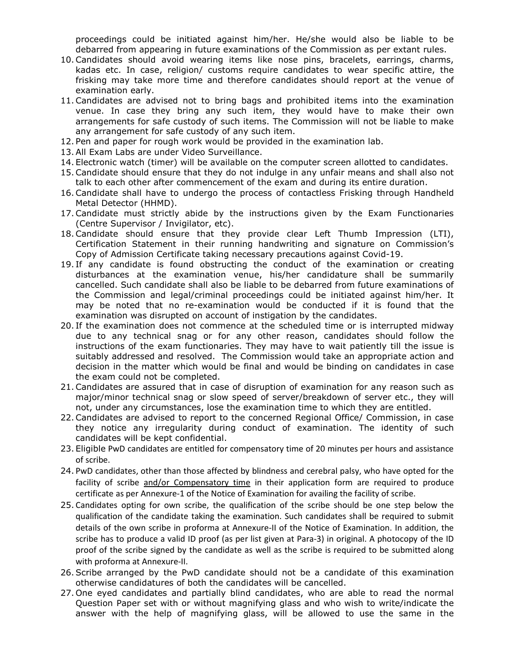proceedings could be initiated against him/her. He/she would also be liable to be debarred from appearing in future examinations of the Commission as per extant rules.

- 10. Candidates should avoid wearing items like nose pins, bracelets, earrings, charms, kadas etc. In case, religion/ customs require candidates to wear specific attire, the frisking may take more time and therefore candidates should report at the venue of examination early.
- 11. Candidates are advised not to bring bags and prohibited items into the examination venue. In case they bring any such item, they would have to make their own arrangements for safe custody of such items. The Commission will not be liable to make any arrangement for safe custody of any such item.
- 12. Pen and paper for rough work would be provided in the examination lab.
- 13. All Exam Labs are under Video Surveillance.
- 14. Electronic watch (timer) will be available on the computer screen allotted to candidates.
- 15. Candidate should ensure that they do not indulge in any unfair means and shall also not talk to each other after commencement of the exam and during its entire duration.
- 16. Candidate shall have to undergo the process of contactless Frisking through Handheld Metal Detector (HHMD).
- 17. Candidate must strictly abide by the instructions given by the Exam Functionaries (Centre Supervisor / Invigilator, etc).
- 18. Candidate should ensure that they provide clear Left Thumb Impression (LTI), Certification Statement in their running handwriting and signature on Commission's Copy of Admission Certificate taking necessary precautions against Covid-19.
- 19. If any candidate is found obstructing the conduct of the examination or creating disturbances at the examination venue, his/her candidature shall be summarily cancelled. Such candidate shall also be liable to be debarred from future examinations of the Commission and legal/criminal proceedings could be initiated against him/her. It may be noted that no re-examination would be conducted if it is found that the examination was disrupted on account of instigation by the candidates.
- 20. If the examination does not commence at the scheduled time or is interrupted midway due to any technical snag or for any other reason, candidates should follow the instructions of the exam functionaries. They may have to wait patiently till the issue is suitably addressed and resolved. The Commission would take an appropriate action and decision in the matter which would be final and would be binding on candidates in case the exam could not be completed.
- 21. Candidates are assured that in case of disruption of examination for any reason such as major/minor technical snag or slow speed of server/breakdown of server etc., they will not, under any circumstances, lose the examination time to which they are entitled.
- 22. Candidates are advised to report to the concerned Regional Office/ Commission, in case they notice any irregularity during conduct of examination. The identity of such candidates will be kept confidential.
- 23. Eligible PwD candidates are entitled for compensatory time of 20 minutes per hours and assistance of scribe.
- 24. PwD candidates, other than those affected by blindness and cerebral palsy, who have opted for the facility of scribe and/or Compensatory time in their application form are required to produce certificate as per Annexure-1 of the Notice of Examination for availing the facility of scribe.
- 25. Candidates opting for own scribe, the qualification of the scribe should be one step below the qualification of the candidate taking the examination. Such candidates shall be required to submit details of the own scribe in proforma at Annexure-II of the Notice of Examination. In addition, the scribe has to produce a valid ID proof (as per list given at Para-3) in original. A photocopy of the ID proof of the scribe signed by the candidate as well as the scribe is required to be submitted along with proforma at Annexure-II.
- 26. Scribe arranged by the PwD candidate should not be a candidate of this examination otherwise candidatures of both the candidates will be cancelled.
- 27. One eyed candidates and partially blind candidates, who are able to read the normal Question Paper set with or without magnifying glass and who wish to write/indicate the answer with the help of magnifying glass, will be allowed to use the same in the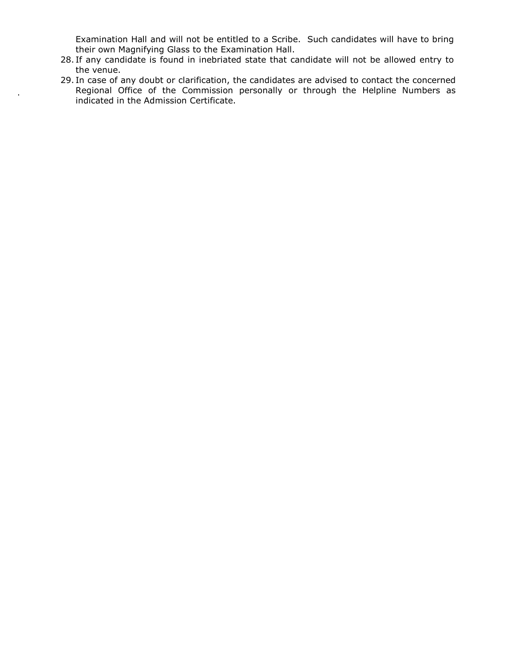Examination Hall and will not be entitled to a Scribe. Such candidates will have to bring their own Magnifying Glass to the Examination Hall.

- 28. If any candidate is found in inebriated state that candidate will not be allowed entry to the venue.
- 29. In case of any doubt or clarification, the candidates are advised to contact the concerned Regional Office of the Commission personally or through the Helpline Numbers as indicated in the Admission Certificate.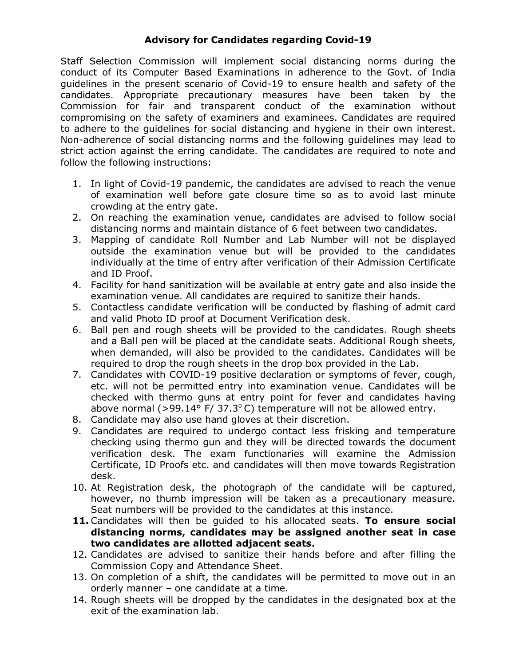## Advisory for Candidates regarding Covid-19

Staff Selection Commission will implement social distancing norms during the conduct of its Computer Based Examinations in adherence to the Govt. of India guidelines in the present scenario of Covid-19 to ensure health and safety of the candidates. Appropriate precautionary measures have been taken by the Commission for fair and transparent conduct of the examination without compromising on the safety of examiners and examinees. Candidates are required to adhere to the guidelines for social distancing and hygiene in their own interest. Non-adherence of social distancing norms and the following guidelines may lead to strict action against the erring candidate. The candidates are required to note and follow the following instructions:

- 1. In light of Covid-19 pandemic, the candidates are advised to reach the venue of examination well before gate closure time so as to avoid last minute crowding at the entry gate.
- 2. On reaching the examination venue, candidates are advised to follow social distancing norms and maintain distance of 6 feet between two candidates.
- 3. Mapping of candidate Roll Number and Lab Number will not be displayed outside the examination venue but will be provided to the candidates individually at the time of entry after verification of their Admission Certificate and ID Proof.
- 4. Facility for hand sanitization will be available at entry gate and also inside the examination venue. All candidates are required to sanitize their hands.
- 5. Contactless candidate verification will be conducted by flashing of admit card and valid Photo ID proof at Document Verification desk.
- 6. Ball pen and rough sheets will be provided to the candidates. Rough sheets and a Ball pen will be placed at the candidate seats. Additional Rough sheets, when demanded, will also be provided to the candidates. Candidates will be required to drop the rough sheets in the drop box provided in the Lab.
- 7. Candidates with COVID-19 positive declaration or symptoms of fever, cough, etc. will not be permitted entry into examination venue. Candidates will be checked with thermo guns at entry point for fever and candidates having above normal (>99.14 $\degree$  F/ 37.3 $\degree$ C) temperature will not be allowed entry.
- 8. Candidate may also use hand gloves at their discretion.
- 9. Candidates are required to undergo contact less frisking and temperature checking using thermo gun and they will be directed towards the document verification desk. The exam functionaries will examine the Admission Certificate, ID Proofs etc. and candidates will then move towards Registration desk.
- 10. At Registration desk, the photograph of the candidate will be captured, however, no thumb impression will be taken as a precautionary measure. Seat numbers will be provided to the candidates at this instance.
- 11. Candidates will then be quided to his allocated seats. To ensure social distancing norms, candidates may be assigned another seat in case two candidates are allotted adjacent seats.
- 12. Candidates are advised to sanitize their hands before and after filling the Commission Copy and Attendance Sheet.
- 13. On completion of a shift, the candidates will be permitted to move out in an orderly manner – one candidate at a time.
- 14. Rough sheets will be dropped by the candidates in the designated box at the exit of the examination lab.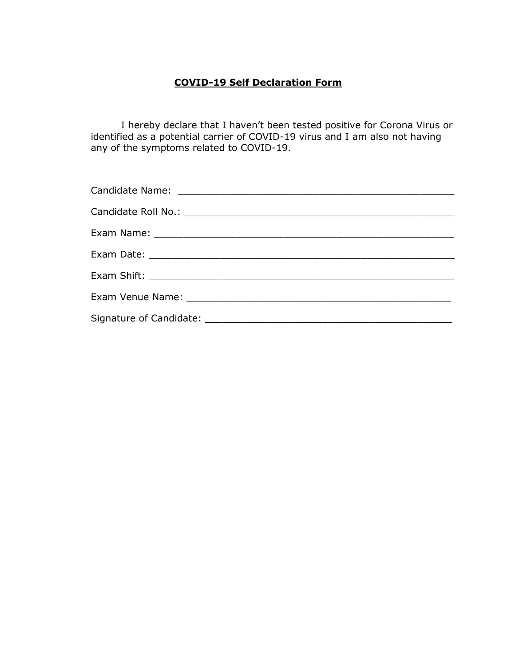# COVID-19 Self Declaration Form

I hereby declare that I haven't been tested positive for Corona Virus or identified as a potential carrier of COVID-19 virus and I am also not having any of the symptoms related to COVID-19.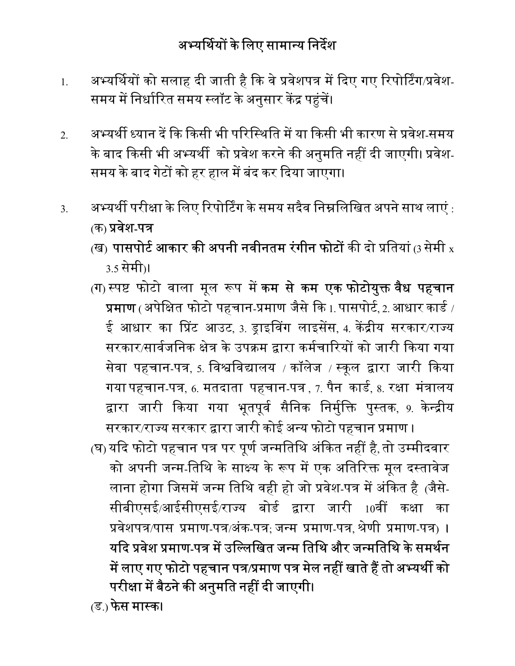- 1. अभ्यर्थियों को सलाह दी जाती है कि वे प्रवेशपत्र में दिए गए रिपोर्टिंग/प्रवेश-समय में निर्धारित समय स्लॉट के अनुसार केंद्र पहुंचें।
- 2. अभ्यर्थी ध्यान दें कि किसी भी परिस्थिति में या किसी भी कारण से प्रवेश-समय के बाद किसी भी अभ्यर्थी को प्रवेश करने की अनुमति नहीं दी जाएगी। प्रवेश-समय के बाद गेटों को हर हाल में बंद कर दिया जाएगा।
- $3. \hskip 1.2cm$ अभ्यर्थी परीक्षा के लिए रिपोर्टिंग के समय सदैव निम्नलिखित अपने साथ लाएं : (क) प्रवेश-पत्र
	- (ख) पासपोर्ट आकार की अपनी नवीनतम रंगीन फोटों की दो प्रतियां (3 सेमी  $\mathrm{x}$ 3.5 सेमी)।
	- (ग) स्पष्ट फोटो वाला मूल रूप में <mark>कम से कम एक फोटोयुक्त वैध पहचान</mark> प्रमाण (अपेक्षित फोटो पहचान-प्रमाण जैसे कि  $_{1}$  पासपोर्ट, $_{2}$  आधार कार्ड / ई आधार का प्रिंट आउट, 3. ड्राइविंग लाइसेंस, 4. केंद्रीय सरकार/राज्य सरकार/सार्वजनिक क्षेत्र के उपक्रम द्वारा कर्मचारियों को जारी किया गया सेवा पहचान-पत्र, 5. विश्वविद्यालय / कॉलेज / स्कूल द्वारा जारी किया गया पहचान-पत्र, 6. मतदाता पहचान-पत्र , 7. पैन कार्ड, 8. रक्षा मंत्रालय द्वारा जारी किया गया भूतपूर्व सैनिक निर्मुक्ति पुस्तक, 9. केन्द्रीय सरकार/राज्य सरकार द्वारा जारी कोई अन्य फोटो पहचान प्रमाण ।
	- (घ) यदि फोटो पहचान पत्र पर पूर्ण जन्मतिथि अंकित नहीं है, तो उम्मीदवार को अपनी जन्म-तिथि के साक्ष्य के रूप में एक अतिरिक्त मूल दस्तावेज लाना होगा जिसमें जन्म तिथि वही हो जो प्रवेश-पत्र में अंकित है (जैसे-सीबीएसई/आईसीएसई/राज्य बोर्ड द्वारा जारी 10वीं कक्षा का प्रवेशपत्र/पास प्रमाण-पत्र/अंक-पत्र; जन्म प्रमाण-पत्र, श्रेणी प्रमाण-पत्र) । यदि प्रवेश प्रमाण-पत्र में उल्लिखित जन्म तिथि और जन्मतिथि के समर्थन में लाए गए फोटो पहचान पत्र/प्रमाण पत्र मेल नहीं खाते हैं तो अभ्यर्थी को परीक्षा में बैठने की अनुमति नहीं दी जाएगी।

(ड.) फेस मास्क।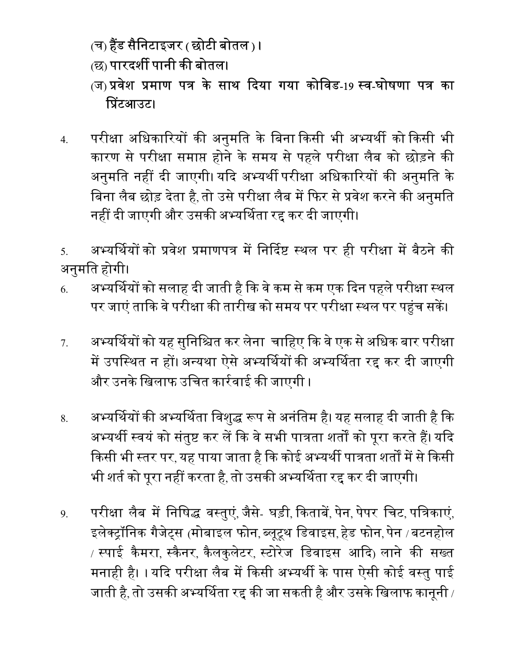- (च) हैंड सैनिटाइजर ( छोटी बोतल )।
- (छ) पारदर्शी पानी की बोतल।
- (ज) प्रवेश प्रमाण पत्र के साथ दिया गया कोविड-19 स्व-घोषणा पत्र का प्रिंटआउट।
- 4. परीक्षा अधिकारियों की अनुमति के बिना किसी भी अभ्यर्थी को किसी भी कारण से परीक्षा समाप्त होने के समय से पहले परीक्षा लैब को छोड़ने की अनुमति नहीं दी जाएगी। यदि अभ्यर्थी परीक्षा अधिकारियों की अनुमति के बिना लैब छोड़ देता है, तो उसे परीक्षा लैब में फिर से प्रवेश करने की अनुमति नहीं दी जाएगी और उसकी अभ्यर्थिता रद्द कर दी जाएगी।
- 5. अभ्यर्थियों को प्रवेश प्रमाणपत्र में निर्दिष्ट स्थल पर ही परीक्षा में बैठने की अनुमित होगी।
- 6. अभ्यर्थियों को सलाह दी जाती है कि वे कम से कम एक दिन पहले परीक्षा स्थल पर जाएं ताकि वे परीक्षा की तारीख को समय पर परीक्षा स्थल पर पहुंच सकें।
- 7. अभ्यर्थियों को यह सुनिश्चित कर लेना चाहिए कि वे एक से अधिक बार परीक्षा में उपस्थित न हों। अन्यथा ऐसे अभ्यर्थियों की अभ्यर्थिता रद्द कर दी जाएगी और उनके खिलाफ उचित कार्रवाई की जाएगी ।
- 8. अभ्यर्थियों की अभ्यर्थिता विशुद्ध रूप से अनंतिम है। यह सलाह दी जाती है कि अभ्यर्थी स्वयं को संतुष्ट कर लें कि वे सभी पात्रता शर्तों को पूरा करते हैं। यदि किसी भी स्तर पर, यह पाया जाता है कि कोई अभ्यर्थी पात्रता शर्तों में से किसी भी शर्त को पूरा नहीं करता है, तो उसकी अभ्यर्थिता रद्द कर दी जाएगी।
- <u>9</u>. परीक्षा लैब में निषिद्ध वस्तुएं, जैसे- घड़ी, किताबें, पेन, पेपर चिट, पत्रिकाएं, इलेक्ट्रॉनिक गैजेट्स (मोबाइल फोन, ब्लूटूथ डिवाइस, हेड फोन, पेन /बटनहोल / स्पाई कैमरा, स्कैनर, कैलकुलेटर, स्टोरेज डिवाइस आदि) लाने की सख्त मनाही है। । यदि परीक्षा लैब में किसी अभ्यर्थी के पास ऐसी कोई वस्तु पाई जाती है, तो उसकी अभ्यर्थिता रद्द की जा सकती है और उसके खिलाफ कानूनी /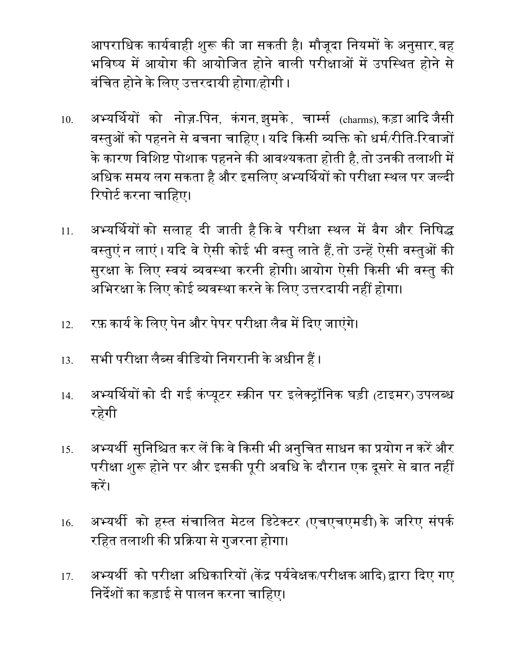आपराधिक कार्यवाही शुरू की जा सकती है। मौजूदा नियमों के अनुसार, वह भविष्य में आयोग की आयोजित होने वाली परीक्षाओं में उपस्थित होने से वंचित होने के लिए उत्तरदायी होगा/होगी ।

- 10. अभ्यर्थियों को नोज़-पिन, कंगन,झुमके, चार्म्स <sub>(charms),</sub>कड़ाआदिजैसी वस्तुओं को पहनने से बचना चाहिए । यदि किसी व्यक्ति को धर्म/रीति-रिवाजों के कारण विशिष्ट पोशाक पहनने की आवश्यकता होती है, तो उनकी तलाशी में अधिक समय लग सकता है और इसलिए अभ्यर्थियों को परीक्षा स्थल पर जल्दी रिपोर्ट करना चाहिए।
- 11. अभ्यर्थियों को सलाह दी जाती है कि वे परीक्षा स्थल में बैग और निषिद्ध वस्तुएं न लाएं। यदि वे ऐसी कोई भी वस्तु लाते हैं, तो उन्हें ऐसी वस्तुओं की सुरक्षा के लिए स्वयं व्यवस्था करनी होगी। आयोग ऐसी किसी भी वस्तु की अभिरक्षा के लिए कोई व्यवस्था करने के लिए उत्तरदायी नहीं होगा।
- 12. रफ़ कार्य के लिए पेन और पेपर परीक्षा लैब में दिए जाएंगे।
- 13. सभी परीक्षा लैब्स वीडियो निगरानी के अधीन हैं ।
- 14. अभ्यर्थियों को दी गई कंप्यूटर स्क्रीन पर इलेक्ट्रॉनिक घड़ी (टाइमर) उपलब्ध रहगेी
- <u>15. अभ्यर्थी सुनिश्चित कर लें कि वे किसी भी अनुचित साधन का प्रयोग न करें और </u> परीक्षा शुरू होने पर और इसकी पूरी अवधि के दौरान एक दूसरे से बात नहीं करें।
- 16. अभ्यर्थी को हस्त संचालित मेटल डिटेक्टर (एचएचएमडी) के जरिए संपर्क रहित तलाशी की प्रक्रिया से गुजरना होगा।
- <u>17. अभ्यर्थी को परीक्षा अधिकारियों (केंद्र पर्यवेक्षक/परीक्षक आदि) द्वारा दिए गए</u> निर्देशों का कड़ाई से पालन करना चाहिए।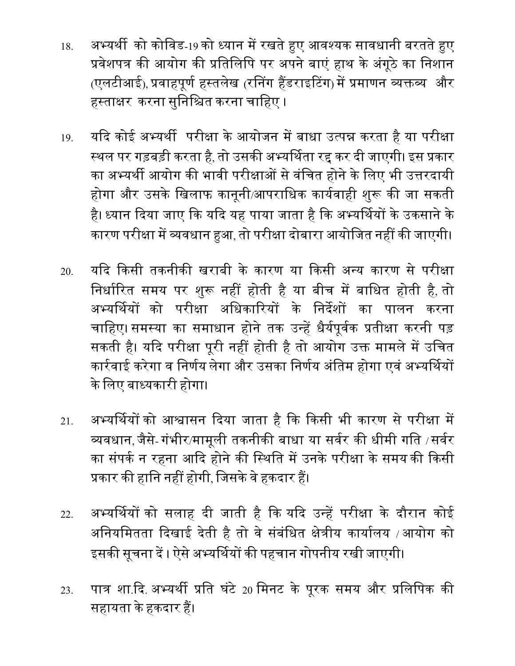- 18. अभ्यर्थी को कोविड-19 को ध्यान में रखते हुए आवश्यक सावधानी बरतते हुए प्रवेशपत्र की आयोग की प्रतिलिपि पर अपने बाएं हाथ के अंगूठे का निशान (एलटीआई), प्रवाहपूर्ण हस्तलेख (रनिंग हैंडराइटिंग) में प्रमाणन व्यक्तव्य और हस्ताक्षर करना सुनिश्चित करना चाहिए ।
- 19. यदि कोई अभ्यर्थी परीक्षा के आयोजन में बाधा उत्पन्न करता है या परीक्षा स्थल पर गड़बड़ी करता है, तो उसकी अभ्यर्थिता रद्द कर दी जाएगी। इस प्रकार का अभ्यर्थी आयोग की भावी परीक्षाओं से वंचित होने के लिए भी उत्तरदायी होगा और उसके खिलाफ कानूनी/आपराधिक कार्यवाही शुरू की जा सकती है। ध्यान दिया जाए कि यदि यह पाया जाता है कि अभ्यर्थियों के उकसाने के कारण परीक्षा में व्यवधान हुआ, तो परीक्षा दोबारा आयोजित नहीं की जाएगी।
- 20. यदि किसी तकनीकी खराबी के कारण या किसी अन्य कारण से परीक्षा निर्धारित समय पर शुरू नहीं होती है या बीच में बाधित होती है, तो अभ्यर्थियों को परीक्षा अधिकारियों के निर्देशों का पालन करना चाहिए। समस्या का समाधान होने तक उन्हें धैर्यपूर्वक प्रतीक्षा करनी पड़ सकती है। यदि परीक्षा पूरी नहीं होती है तो आयोग उक्त मामले में उचित कार्रवाई करेगा व निर्णय लेगा और उसका निर्णय अंतिम होगा एवं अभ्यर्थियों के लिए बाध्यकारी होगा।
- 21. अभ्यर्थियों को आश्वासन दिया जाता है कि किसी भी कारण से परीक्षा में व्यवधान, जैसे- गंभीर/मामूली तकनीकी बाधा या सर्वर की धीमी गति / सर्वर का संपर्क न रहना आदि होने की स्थिति में उनके परीक्षा के समय की किसी प्रकार की हानि नहीं होगी, जिसके वे हकदार हैं।
- 22. अभ्यर्थियों को सलाह दी जाती है कि यदि उन्हें परीक्षा के दौरान कोई अनियमितता दिखाई देती है तो वे संबंधित क्षेत्रीय कार्यालय / आयोग को इसकी सूचना दें । ऐसे अभ्यर्थियों की पहचान गोपनीय रखी जाएगी।
- 23. पात्र शा.दि. अभ्यर्थी प्रति घंटे 20 मिनट के पूरक समय और प्रलिपिक की सहायता के हकदार हैं।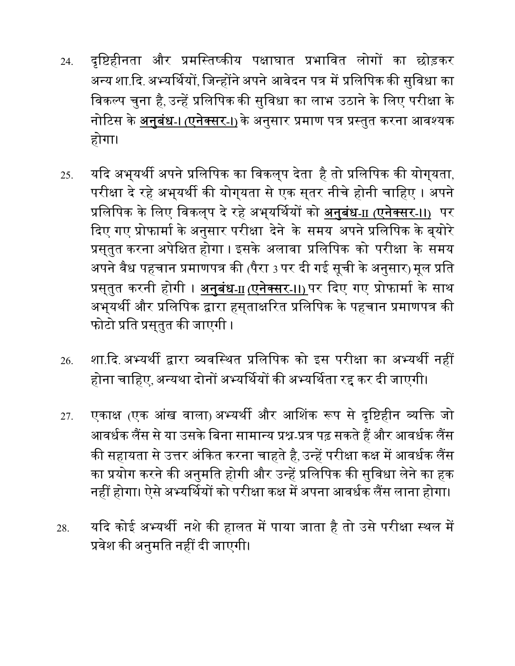- 24. दृष्टिहीनता और प्रमस्तिष्कीय पक्षाघात प्रभावित लोगों का छोड़कर अन्य शा.दि. अभ्यर्थियों, जिन्होंने अपने आवेदन पत्र में प्रलिपिक की सुविधा का विकल्प चुना है, उन्हें प्रलिपिक की सुविधा का लाभ उठाने के लिए परीक्षा के नोटिस के <u>अनुबंध-। (एनेक्सर-।)</u> के अनुसार प्रमाण पत्र प्रस्तुत करना आवश्यक होगा।
- 25. यदि अभ्यर्थी अपने प्रलिपिक का विकल्प देता है तो प्रलिपिक की योग्यता, परीक्षा दे रहे अभ्यर्थी की योग्यता से एक सुतर नीचे होनी चाहिए । अपने प्रलिपिक के लिए विकल्प दे रहे अभ्**यर्थियों को अनुबंध-** $\scriptstyle\rm II$  (एनेक्सर-।।) पर दिए गए प्रोफार्मा के अनुसार परीक्षा देने के समय अपने प्रलिपिक के बयोरे प्रसुतुत करना अपेक्षित होगा । इसके अलावा प्रलिपिक को परीक्षा के समय अपने वैध पहचान प्रमाणपत्र की (पैरा 3 पर दी गई सूची के अनुसार) मूल प्रति प्रसुतुत करनी होगी । <u>अनुबंध-II (एनेक्सर-II) पर दिए गए प्रोफार्मा के साथ</u> अभ्यर्थी और प्रलिपिक द्वारा हस्**ताक्षरित प्रलिपिक के पहचान प्रमाणपत्र** की फोटो प्रति प्रसुतुत की जाएगी ।
- 26. शा.दि. अभ्यर्थी द्वारा व्यवस्थित प्रलिपिक को इस परीक्षा का अभ्यर्थी नहीं होना चाहिए, अन्यथा दोनों अभ्यर्थियों की अभ्यर्थिता रद्द कर दी जाएगी।
- 27. एकाक्ष (एक आंख वाला) अभ्यर्थी और आशिंक रूप से दृष्टिहीन व्यक्ति जो आवर्धक लैंस से या उसके बिना सामान्य प्रश्न-प्रत्र पढ़ सकते हैं और आवर्धक लैंस की सहायता से उत्तर अंकित करना चाहते है, उन्हें परीक्षा कक्ष में आवर्धक लैंस का प्रयोग करने की अनुमति होगी और उन्हें प्रलिपिक की सुविधा लेने का हक नहीं होगा। ऐसे अभ्यर्थियों को परीक्षा कक्ष में अपना आवर्धक लैंस लाना होगा।
- 28. यदि कोई अभ्यर्थी नशे की हालत में पाया जाता है तो उसे परीक्षा स्थल में प्रवेश की अनुमति नहीं दी जाएगी।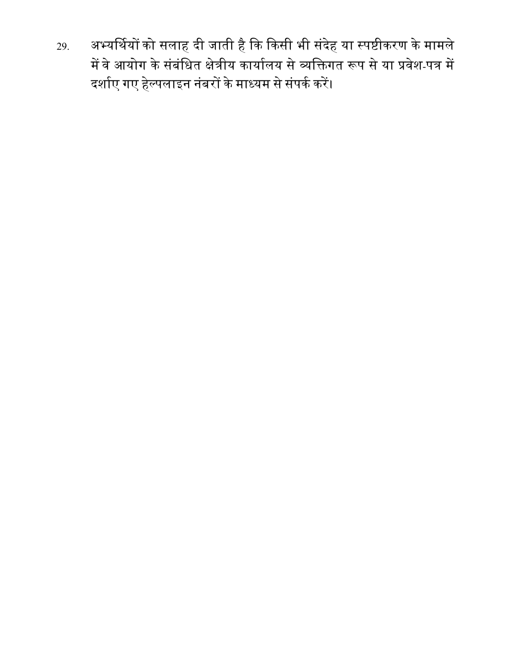29. अभ्यर्थियों को सलाह दी जाती है कि किसी भी संदेह या स्पष्टीकरण के मामले में वे आयोग के संबंधित क्षेत्रीय कार्यालय से व्यक्तिगत रूप से या प्रवेश-पत्र में दर्शाए गए हेल्पलाइन नंबरों के माध्यम से संपर्क करें।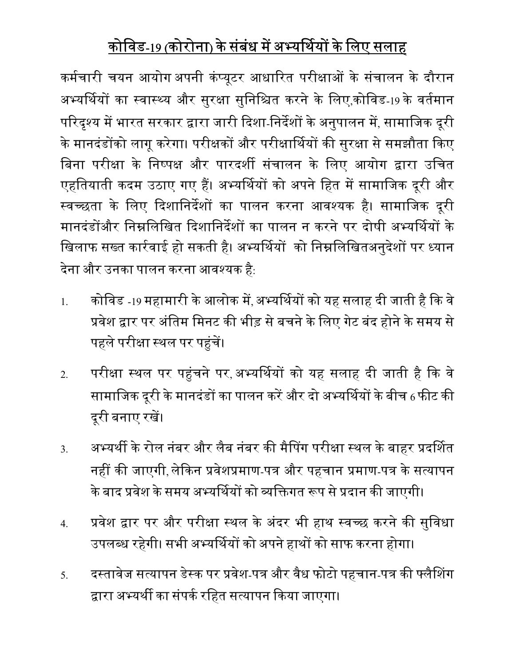# कोविड-19 (कोरोना) के संबंध में अभ्यर्थियों के लिए सलाह

कर्मचारी चयन आयोग अपनी कंप्यूटर आधारित परीक्षाओं के संचालन के दौरान अभ्यर्थियों का स्वास्थ्य और सुरक्षा सुनिश्चित करने के लिए,कोविड-19 के वर्तमान परिदृश्य में भारत सरकार द्वारा जारी दिशा-निर्देशों के अनुपालन में, सामाजिक दूरी के मानदंडोंको लागू करेगा। परीक्षकों और परीक्षार्थियों की सुरक्षा से समझौता किए बिना परीक्षा के निष्पक्ष और पारदर्शी संचालन के लिए आयोग द्वारा उचित एहतियाती कदम उठाए गए हैं। अभ्यर्थियों को अपने हित में सामाजिक दूरी और स्वच्छता के लिए दिशानिर्देशों का पालन करना आवश्यक है। सामाजिक दूरी मानदंडोंऔर निम्नलिखित दिशानिर्देशों का पालन न करने पर दोषी अभ्यर्थियों के खिलाफ सख्त कार्रवाई हो सकती है। अभ्यर्थियों को निम्नलिखितअनुदेशों पर ध्यान देना और उनका पालन करना आवश्यक है:

- 1. कोविड -19 महामारी के आलोक में, अभ्यर्थियों को यह सलाह दी जाती है कि वे प्रवेश द्वार पर अंतिम मिनट की भीड़ से बचने के लिए गेट बंद होने के समय से पहले परीक्षा स्थल पर पहुंचें।
- 2. परीक्षा स्थल पर पहुंचने पर,अभ्यर्थियों को यह सलाह दी जाती है कि वे सामाजिक दूरी के मानदंडों का पालन करें और दो अभ्यर्थियों के बीच 6 फीट की दूरी बनाए रखें।
- 3. अभ्यर्थी के रोल नंबर और लैब नंबर की मैपिंग परीक्षा स्थल के बाहर प्रदर्शित नहीं की जाएगी, लेकिन प्रवेशप्रमाण-पत्र और पहचान प्रमाण-पत्र के सत्यापन के बाद प्रवेश के समय अभ्यर्थियों को व्यक्तिगत रूप से प्रदान की जाएगी।
- 4. प्रवेश द्वार पर और परीक्षा स्थल के अंदर भी हाथ स्वच्छ करने की सुविधा उपलब्ध रहेगी। सभी अभ्यर्थियों को अपने हाथों को साफ करना होगा।
- <u>5</u>. दस्तावेज सत्यापन डेस्क पर प्रवेश-पत्र और वैध फोटो पहचान-पत्र की फ्लैशिंग द्वारा अभ्यर्थी का संपर्क रहित सत्यापन किया जाएगा।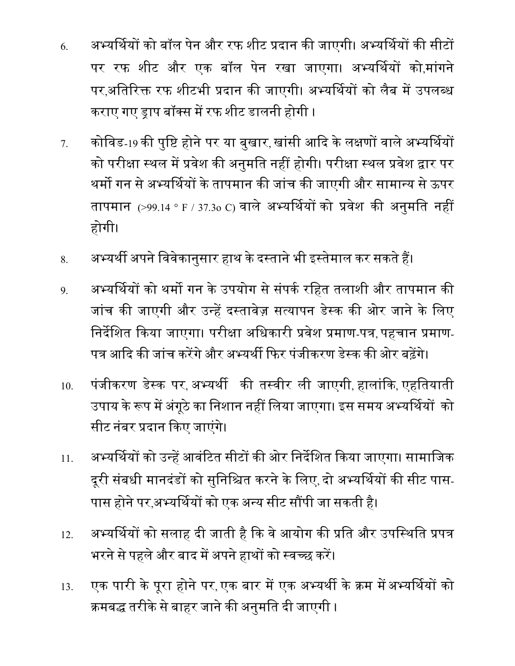- 6. अभ्यर्थियों को बॉल पेन और रफ शीट प्रदान की जाएगी। अभ्यर्थियों की सीटों पर रफ शीट और एक बॉल पेन रखा जाएगा। अभ्यर्थियों को,मांगने पर,अतिरिक्त रफ शीटभी प्रदान की जाएगी। अभ्यर्थियों को लैब में उपलब्ध कराए गए ड्राप बॉक्स में रफ शीट डालनी होगी ।
- 7. कोविड-19 की पुष्टि होने पर या बुखार, खांसी आदि के लक्षणों वाले अभ्यर्थियों को परीक्षा स्थल में प्रवेश की अनुमति नहीं होगी। परीक्षा स्थल प्रवेश द्वार पर थर्मो गन से अभ्यर्थियों के तापमान की जांच की जाएगी और सामान्य से ऊपर तापमान (>99.14 ° F / 37.3o C) वाले अभ्यर्थियों को प्रवेश की अनुमति नहीं होगी।
- 8. अभ्यर्थी अपने विवेकानुसार हाथ के दस्ताने भी इस्तेमाल कर सकते हैं।
- <u>9</u>. अभ्यर्थियों को थर्मो गन के उपयोग से संपर्क रहित तलाशी और तापमान की जांच की जाएगी और उन्हें दस्तावेज़ सत्यापन डेस्क की ओर जाने के लिए निर्देशित किया जाएगा। परीक्षा अधिकारी प्रवेश प्रमाण-पत्र, पहचान प्रमाण-पत्र आदि की जांच करेंगे और अभ्यर्थी फिर पंजीकरण डेस्क की ओर बढ़ेंगे।
- 10. पंजीकरण डे᭭क पर, अ᭤यथᱮ कᳱ त᭭वीर ली जाएगी, हालांᳰक, एहितयाती उपाय के रूप में अंगूठे का निशान नहीं लिया जाएगा। इस समय अभ्यर्थियों को सीट नंबर प्रदान किए जाएंगे।
- 11. अभ्यर्थियों को उन्हें आवंटित सीटों की ओर निर्देशित किया जाएगा। सामाजिक दूरी संबधी मानदंडों को सुनिश्चित करने के लिए, दो अभ्यर्थियों की सीट पास-पास होने पर,अभ्यर्थियों को एक अन्य सीट सौंपी जा सकती है।
- 12. अभ्यर्थियों को सलाह दी जाती है कि वे आयोग की प्रति और उपस्थिति प्रपत्र भरने से पहले और बाद में अपने हाथों को स्वच्छ करें।
- 13. एक पारी के पूरा होने पर, एक बार में एक अभ्यर्थी के क्रम में अभ्यर्थियों को क्रमबद्ध तरीके से बाहर जाने की अनुमति दी जाएगी ।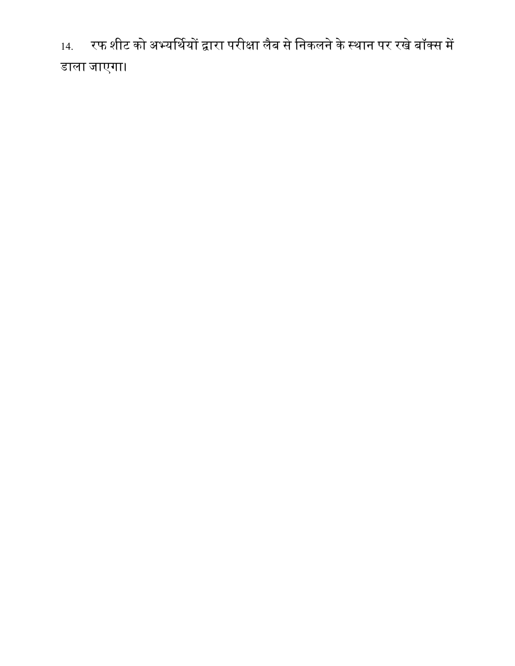14. रफ शीट को अभ्यर्थियों द्वारा परीक्षा लैब से निकलने के स्थान पर रखे बॉक्स में डाला जाएगा।